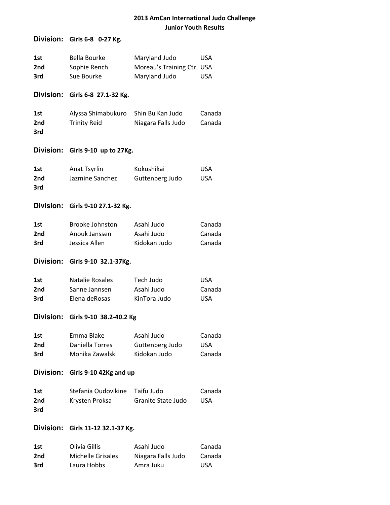## **Division:** Girls 6-8 0-27 Kg.

| 1st             | Bella Bourke | Maryland Judo              | USA |
|-----------------|--------------|----------------------------|-----|
| 2 <sub>nd</sub> | Sophie Rench | Moreau's Training Ctr. USA |     |
| 3rd             | Sue Bourke   | Maryland Judo              | USA |

#### **Division:** Girls 6-8 27.1-32 Kg.

| 1st | Alyssa Shimabukuro  | Shin Bu Kan Judo   | Canada |
|-----|---------------------|--------------------|--------|
| 2nd | <b>Trinity Reid</b> | Niagara Falls Judo | Canada |
| 3rd |                     |                    |        |

#### **Division:** Girls 9-10 up to 27Kg.

| 1st | Anat Tsyrlin    | Kokushikai      | USA.       |
|-----|-----------------|-----------------|------------|
| 2nd | Jazmine Sanchez | Guttenberg Judo | <b>USA</b> |
| 3rd |                 |                 |            |

#### **Division:** Girls 9-10 27.1-32 Kg.

| 1st | Brooke Johnston | Asahi Judo   | Canada |
|-----|-----------------|--------------|--------|
| 2nd | Anouk Janssen   | Asahi Judo   | Canada |
| 3rd | Jessica Allen   | Kidokan Judo | Canada |

### **Division:** Girls 9-10 32.1-37Kg.

| 1st | Natalie Rosales | Tech Judo    | USA    |
|-----|-----------------|--------------|--------|
| 2nd | Sanne Jannsen   | Asahi Judo   | Canada |
| 3rd | Elena deRosas   | KinTora Judo | USA    |

## **Division:** Girls 9-10 38.2-40.2 Kg

| 1st | Emma Blake      | Asahi Judo      | Canada |
|-----|-----------------|-----------------|--------|
| 2nd | Daniella Torres | Guttenberg Judo | USA.   |
| 3rd | Monika Zawalski | Kidokan Judo    | Canada |

### **Division:** Girls 9-10 42Kg and up

| 1st | Stefania Oudovikine Taifu Judo |                    | Canada |
|-----|--------------------------------|--------------------|--------|
| 2nd | Krysten Proksa                 | Granite State Judo | USA    |
| 3rd |                                |                    |        |

#### **Division:** Girls 11-12 32.1-37 Kg.

| 1st | Olivia Gillis     | Asahi Judo         | Canada     |
|-----|-------------------|--------------------|------------|
| 2nd | Michelle Grisales | Niagara Falls Judo | Canada     |
| 3rd | Laura Hobbs       | Amra Juku          | <b>USA</b> |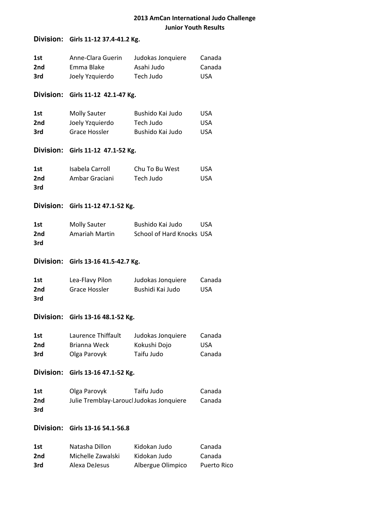## **Division:** Girls 11-12 37.4-41.2 Kg.

| 1st<br>2nd<br>3rd | Anne-Clara Guerin<br>Emma Blake<br>Joely Yzquierdo             | Judokas Jonquiere<br>Asahi Judo<br>Tech Judo                              | Canada<br>Canada<br><b>USA</b>         |
|-------------------|----------------------------------------------------------------|---------------------------------------------------------------------------|----------------------------------------|
|                   | Division: Girls 11-12 42.1-47 Kg.                              |                                                                           |                                        |
| 1st<br>2nd<br>3rd | <b>Molly Sauter</b><br>Joely Yzquierdo<br><b>Grace Hossler</b> | Bushido Kai Judo<br>Tech Judo<br>Bushido Kai Judo                         | <b>USA</b><br><b>USA</b><br><b>USA</b> |
|                   | Division: Girls 11-12 47.1-52 Kg.                              |                                                                           |                                        |
| 1st<br>2nd<br>3rd | Isabela Carroll<br>Ambar Graciani                              | Chu To Bu West<br>Tech Judo                                               | <b>USA</b><br><b>USA</b>               |
|                   | Division: Girls 11-12 47.1-52 Kg.                              |                                                                           |                                        |
| 1st<br>2nd<br>3rd | <b>Molly Sauter</b><br>Amariah Martin                          | Bushido Kai Judo<br>School of Hard Knocks USA                             | <b>USA</b>                             |
|                   |                                                                |                                                                           |                                        |
|                   | Division: Girls 13-16 41.5-42.7 Kg.                            |                                                                           |                                        |
| 1st<br>2nd<br>3rd | Lea-Flavy Pilon<br>Grace Hossler                               | Judokas Jonquiere<br>Bushidi Kai Judo                                     | Canada<br><b>USA</b>                   |
|                   | Division: Girls 13-16 48.1-52 Kg.                              |                                                                           |                                        |
| 1st<br>2nd<br>3rd | <b>Brianna Weck</b><br>Olga Parovyk                            | Laurence Thiffault Judokas Jonquiere Canada<br>Kokushi Dojo<br>Taifu Judo | <b>USA</b><br>Canada                   |
|                   | Division: Girls 13-16 47.1-52 Kg.                              |                                                                           |                                        |
| 1st<br>2nd<br>3rd | Olga Parovyk<br>Julie Tremblay-Laroucl Judokas Jonquiere       | Taifu Judo                                                                | Canada<br>Canada                       |
| <b>Division:</b>  | Girls 13-16 54.1-56.8                                          |                                                                           |                                        |

3rd Alexa DeJesus Albergue Olimpico Puerto Rico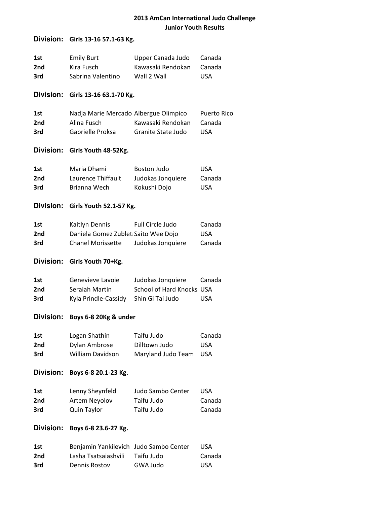# **Division:** Girls 13-16 57.1-63 Kg.

| 1st<br>2nd<br>3rd | <b>Emily Burt</b><br>Kira Fusch<br>Sabrina Valentino                              | Upper Canada Judo<br>Kawasaki Rendokan<br>Wall 2 Wall              | Canada<br>Canada<br><b>USA</b>             |
|-------------------|-----------------------------------------------------------------------------------|--------------------------------------------------------------------|--------------------------------------------|
|                   | Division: Girls 13-16 63.1-70 Kg.                                                 |                                                                    |                                            |
| 1st<br>2nd<br>3rd | Nadja Marie Mercado Albergue Olimpico<br>Alina Fusch<br>Gabrielle Proksa          | Kawasaki Rendokan<br>Granite State Judo                            | <b>Puerto Rico</b><br>Canada<br><b>USA</b> |
|                   | Division: Girls Youth 48-52Kg.                                                    |                                                                    |                                            |
| 1st<br>2nd<br>3rd | Maria Dhami<br>Laurence Thiffault<br>Brianna Wech                                 | <b>Boston Judo</b><br>Judokas Jonquiere<br>Kokushi Dojo            | <b>USA</b><br>Canada<br><b>USA</b>         |
| <b>Division:</b>  | Girls Youth 52.1-57 Kg.                                                           |                                                                    |                                            |
| 1st<br>2nd<br>3rd | Kaitlyn Dennis<br>Daniela Gomez Zublet Saito Wee Dojo<br><b>Chanel Morissette</b> | Full Circle Judo<br>Judokas Jonquiere                              | Canada<br><b>USA</b><br>Canada             |
| <b>Division:</b>  | Girls Youth 70+Kg.                                                                |                                                                    |                                            |
| 1st<br>2nd<br>3rd | Genevieve Lavoie<br>Seraiah Martin<br>Kyla Prindle-Cassidy                        | Judokas Jonquiere<br>School of Hard Knocks USA<br>Shin Gi Tai Judo | Canada<br><b>USA</b>                       |
|                   | Division: Boys 6-8 20Kg & under                                                   |                                                                    |                                            |
| 1st<br>2nd<br>3rd | Logan Shathin<br>Dylan Ambrose<br><b>William Davidson</b>                         | Taifu Judo<br>Dilltown Judo<br>Maryland Judo Team                  | Canada<br><b>USA</b><br><b>USA</b>         |
| <b>Division:</b>  | Boys 6-8 20.1-23 Kg.                                                              |                                                                    |                                            |
| 1st<br>2nd<br>3rd | Lenny Sheynfeld<br>Artem Neyolov<br>Quin Taylor                                   | Judo Sambo Center<br>Taifu Judo<br>Taifu Judo                      | <b>USA</b><br>Canada<br>Canada             |
| <b>Division:</b>  | Boys 6-8 23.6-27 Kg.                                                              |                                                                    |                                            |

| 1st | Benjamin Yankilevich Judo Sambo Center |            | USA.   |
|-----|----------------------------------------|------------|--------|
| 2nd | Lasha Tsatsaiashvili                   | Taifu Judo | Canada |
| 3rd | Dennis Rostov                          | GWA Judo   | USA    |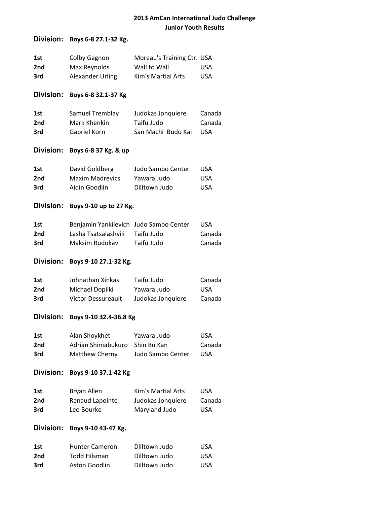## **Division:** Boys 6-8 27.1-32 Kg.

| 1st | Colby Gagnon            | Moreau's Training Ctr. USA |            |
|-----|-------------------------|----------------------------|------------|
| 2nd | Max Reynolds            | Wall to Wall               | USA        |
| 3rd | <b>Alexander Urling</b> | Kim's Martial Arts         | <b>USA</b> |

## **Division:** Boys 6-8 32.1-37 Kg

| 1st | Samuel Tremblay | Judokas Jonquiere  | Canada |
|-----|-----------------|--------------------|--------|
| 2nd | Mark Khenkin    | Taifu Judo         | Canada |
| 3rd | Gabriel Korn    | San Machi Budo Kai | USA    |

### **Division:** Boys 6-8 37 Kg. & up

| 1st | David Goldberg         | Judo Sambo Center | USA  |
|-----|------------------------|-------------------|------|
| 2nd | <b>Maxim Madrevics</b> | Yawara Judo       | USA  |
| 3rd | Aidin Goodlin          | Dilltown Judo     | USA. |

### **Division:** Boys 9-10 up to 27 Kg.

| 1st | Benjamin Yankilevich Judo Sambo Center |            | USA.   |
|-----|----------------------------------------|------------|--------|
| 2nd | Lasha Tsatsalashvili                   | Taifu Judo | Canada |
| 3rd | Maksim Rudokav                         | Taifu Judo | Canada |

### **Division:** Boys 9-10 27.1-32 Kg.

| 1st | Johnathan Xinkas          | Taifu Judo        | Canada |
|-----|---------------------------|-------------------|--------|
| 2nd | Michael Dopilki           | Yawara Judo       | USA.   |
| 3rd | <b>Victor Dessureault</b> | Judokas Jonquiere | Canada |

## **Division:** Boys 9-10 32.4-36.8 Kg

| 1st | Alan Shoykhet                  | Yawara Judo       | USA.   |
|-----|--------------------------------|-------------------|--------|
| 2nd | Adrian Shimabukuro Shin Bu Kan |                   | Canada |
| 3rd | Matthew Cherny                 | Judo Sambo Center | USA    |

#### **Division:** Boys 9-10 37.1-42 Kg

| 1st | Bryan Allen     | Kim's Martial Arts | USA.       |
|-----|-----------------|--------------------|------------|
| 2nd | Renaud Lapointe | Judokas Jonquiere  | Canada     |
| 3rd | Leo Bourke      | Maryland Judo      | <b>USA</b> |

### **Division:** Boys 9-10 43-47 Kg.

| 1st | <b>Hunter Cameron</b> | Dilltown Judo | <b>USA</b> |
|-----|-----------------------|---------------|------------|
| 2nd | Todd Hilsman          | Dilltown Judo | USA        |
| 3rd | Aston Goodlin         | Dilltown Judo | USA        |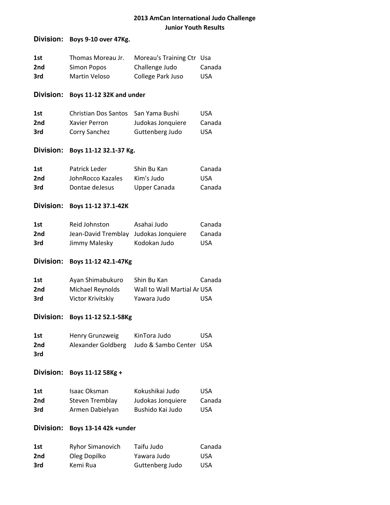### **Division:** Boys 9-10 over 47Kg.

| 1st | Thomas Moreau Jr. | Moreau's Training Ctr Usa |        |
|-----|-------------------|---------------------------|--------|
| 2nd | Simon Popos       | Challenge Judo            | Canada |
| 3rd | Martin Veloso     | College Park Juso         | USA.   |

### **Division:** Boys 11-12 32K and under

| 1st | Christian Dos Santos San Yama Bushi |                   | USA.   |
|-----|-------------------------------------|-------------------|--------|
| 2nd | Xavier Perron                       | Judokas Jonquiere | Canada |
| 3rd | Corry Sanchez                       | Guttenberg Judo   | USA.   |

### **Division:** Boys 11-12 32.1-37 Kg.

| 1st | Patrick Leder     | Shin Bu Kan  | Canada |
|-----|-------------------|--------------|--------|
| 2nd | JohnRocco Kazales | Kim's Judo   | USA    |
| 3rd | Dontae deJesus    | Upper Canada | Canada |

### **Division:** Boys 11-12 37.1-42K

| 1st | Reid Johnston                         | Asahai Judo  | Canada     |
|-----|---------------------------------------|--------------|------------|
| 2nd | Jean-David Tremblay Judokas Jonquiere |              | Canada     |
| 3rd | Jimmy Malesky                         | Kodokan Judo | <b>USA</b> |

### **Division:** Boys 11-12 42.1-47Kg

| 1st | Ayan Shimabukuro  | Shin Bu Kan                 | Canada |
|-----|-------------------|-----------------------------|--------|
| 2nd | Michael Reynolds  | Wall to Wall Martial Ar USA |        |
| 3rd | Victor Krivitskiy | Yawara Judo                 | USA    |

## **Division:** Boys 11-12 52.1-58Kg

| 1st | Henry Grunzweig | KinTora Judo                               | <b>USA</b> |
|-----|-----------------|--------------------------------------------|------------|
| 2nd |                 | Alexander Goldberg Judo & Sambo Center USA |            |
| 3rd |                 |                                            |            |

### **Division:** Boys 11-12 58Kg +

| 1st | Isaac Oksman    | Kokushikai Judo   | USA.   |
|-----|-----------------|-------------------|--------|
| 2nd | Steven Tremblay | Judokas Jonquiere | Canada |
| 3rd | Armen Dabielyan | Bushido Kai Judo  | USA.   |

## **Division:** Boys 13-14 42k +under

| 1st | <b>Ryhor Simanovich</b> | Taifu Judo      | Canada |
|-----|-------------------------|-----------------|--------|
| 2nd | Oleg Dopilko            | Yawara Judo     | USA.   |
| 3rd | Kemi Rua                | Guttenberg Judo | USA.   |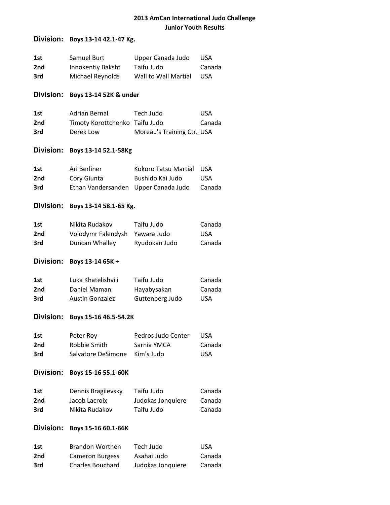## **Division:** Boys 13-14 42.1-47 Kg.

| 1st | Samuel Burt       | Upper Canada Judo    | USA.   |
|-----|-------------------|----------------------|--------|
| 2nd | Innokentiy Baksht | Taifu Judo           | Canada |
| 3rd | Michael Reynolds  | Wall to Wall Martial | USA.   |

### **Division:** Boys 13-14 52K & under

| 1st | Adrian Bernal                  | Tech Judo                  | USA.   |
|-----|--------------------------------|----------------------------|--------|
| 2nd | Timoty Korottchenko Taifu Judo |                            | Canada |
| 3rd | Derek Low                      | Moreau's Training Ctr. USA |        |

### **Division:** Boys 13-14 52.1-58Kg

| 1st | Ari Berliner                         | Kokoro Tatsu Martial USA |        |
|-----|--------------------------------------|--------------------------|--------|
| 2nd | Cory Giunta                          | Bushido Kai Judo         | USA.   |
| 3rd | Ethan Vandersanden Upper Canada Judo |                          | Canada |

### **Division:** Boys 13-14 58.1-65 Kg.

| 1st | Nikita Rudakov                 | Taifu Judo    | Canada |
|-----|--------------------------------|---------------|--------|
| 2nd | Volodymr Falendysh Yawara Judo |               | USA    |
| 3rd | Duncan Whalley                 | Ryudokan Judo | Canada |

### **Division:** Boys 13-14 65K +

| 1st | Luka Khatelishvili     | Taifu Judo      | Canada |
|-----|------------------------|-----------------|--------|
| 2nd | Daniel Maman           | Hayabysakan     | Canada |
| 3rd | <b>Austin Gonzalez</b> | Guttenberg Judo | USA.   |

#### **Division:** Boys 15-16 46.5-54.2K

| 1st | Peter Roy                     | Pedros Judo Center | USA.   |
|-----|-------------------------------|--------------------|--------|
| 2nd | Robbie Smith                  | Sarnia YMCA        | Canada |
| 3rd | Salvatore DeSimone Kim's Judo |                    | USA.   |

#### **Division:** Boys 15-16 55.1-60K

| 1st | Dennis Bragilevsky | Taifu Judo        | Canada |
|-----|--------------------|-------------------|--------|
| 2nd | Jacob Lacroix      | Judokas Jonquiere | Canada |
| 3rd | Nikita Rudakov     | Taifu Judo        | Canada |

### **Division:** Boys 15-16 60.1-66K

| 1st | Brandon Worthen         | Tech Judo         | <b>USA</b> |
|-----|-------------------------|-------------------|------------|
| 2nd | <b>Cameron Burgess</b>  | Asahai Judo       | Canada     |
| 3rd | <b>Charles Bouchard</b> | Judokas Jonquiere | Canada     |